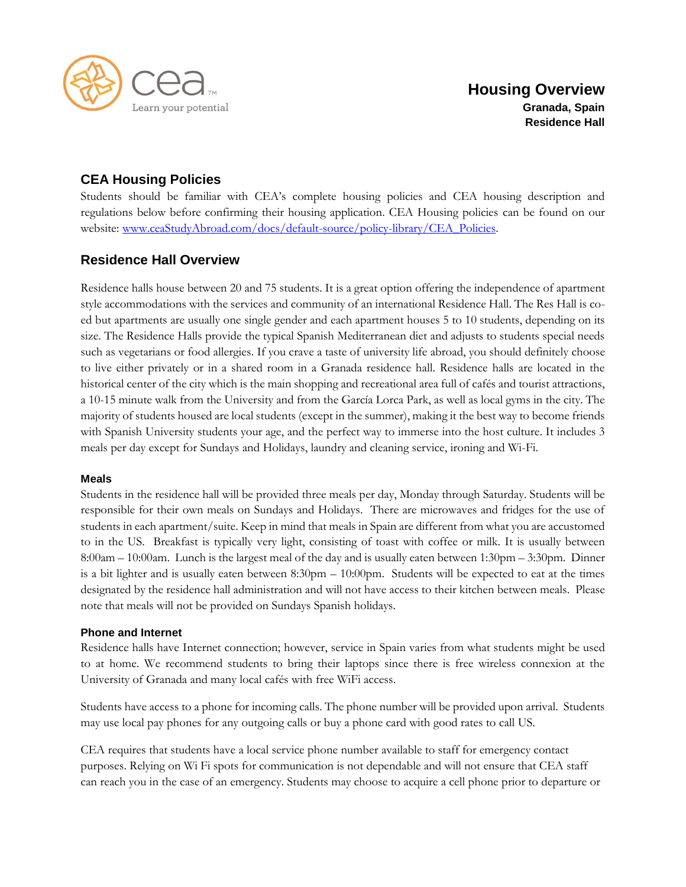

# **CEA Housing Policies**

Students should be familiar with CEA's complete housing policies and CEA housing description and regulations below before confirming their housing application. CEA Housing policies can be found on our website: [www.ceaStudyAbroad.com/docs/default-source/policy-library/CEA\\_Policies.](http://www.ceastudyabroad.com/docs/default-source/policy-library/CEA_Policies)

## **Residence Hall Overview**

Residence halls house between 20 and 75 students. It is a great option offering the independence of apartment style accommodations with the services and community of an international Residence Hall. The Res Hall is coed but apartments are usually one single gender and each apartment houses 5 to 10 students, depending on its size. The Residence Halls provide the typical Spanish Mediterranean diet and adjusts to students special needs such as vegetarians or food allergies. If you crave a taste of university life abroad, you should definitely choose to live either privately or in a shared room in a Granada residence hall. Residence halls are located in the historical center of the city which is the main shopping and recreational area full of cafés and tourist attractions, a 10-15 minute walk from the University and from the García Lorca Park, as well as local gyms in the city. The majority of students housed are local students (except in the summer), making it the best way to become friends with Spanish University students your age, and the perfect way to immerse into the host culture. It includes 3 meals per day except for Sundays and Holidays, laundry and cleaning service, ironing and Wi-Fi.

## **Meals**

Students in the residence hall will be provided three meals per day, Monday through Saturday. Students will be responsible for their own meals on Sundays and Holidays. There are microwaves and fridges for the use of students in each apartment/suite. Keep in mind that meals in Spain are different from what you are accustomed to in the US. Breakfast is typically very light, consisting of toast with coffee or milk. It is usually between 8:00am – 10:00am. Lunch is the largest meal of the day and is usually eaten between 1:30pm – 3:30pm. Dinner is a bit lighter and is usually eaten between 8:30pm – 10:00pm. Students will be expected to eat at the times designated by the residence hall administration and will not have access to their kitchen between meals. Please note that meals will not be provided on Sundays Spanish holidays.

## **Phone and Internet**

Residence halls have Internet connection; however, service in Spain varies from what students might be used to at home. We recommend students to bring their laptops since there is free wireless connexion at the University of Granada and many local cafés with free WiFi access.

Students have access to a phone for incoming calls. The phone number will be provided upon arrival. Students may use local pay phones for any outgoing calls or buy a phone card with good rates to call US.

CEA requires that students have a local service phone number available to staff for emergency contact purposes. Relying on Wi Fi spots for communication is not dependable and will not ensure that CEA staff can reach you in the case of an emergency. Students may choose to acquire a cell phone prior to departure or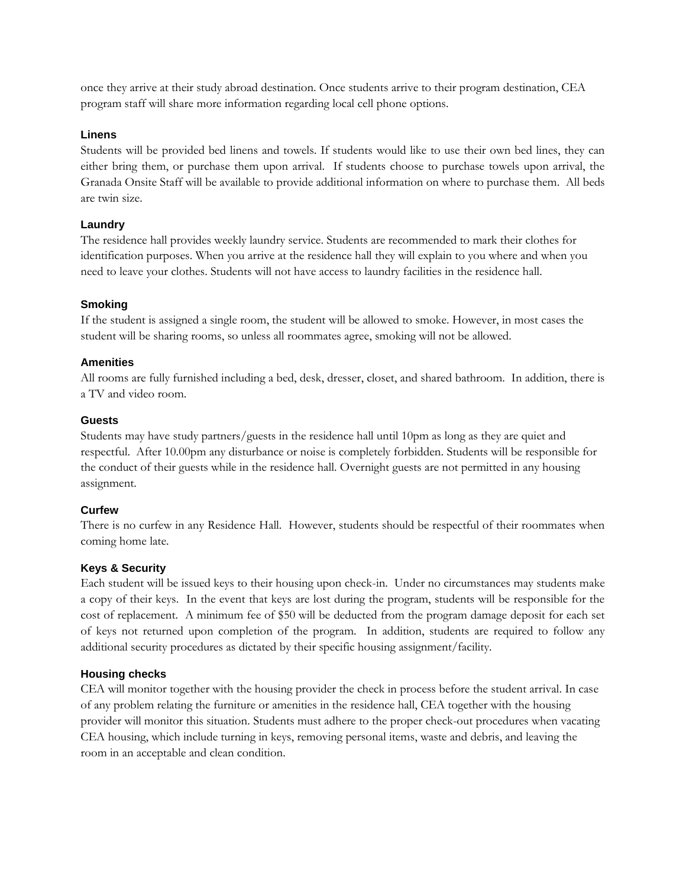once they arrive at their study abroad destination. Once students arrive to their program destination, CEA program staff will share more information regarding local cell phone options.

#### **Linens**

Students will be provided bed linens and towels. If students would like to use their own bed lines, they can either bring them, or purchase them upon arrival. If students choose to purchase towels upon arrival, the Granada Onsite Staff will be available to provide additional information on where to purchase them. All beds are twin size.

### **Laundry**

The residence hall provides weekly laundry service. Students are recommended to mark their clothes for identification purposes. When you arrive at the residence hall they will explain to you where and when you need to leave your clothes. Students will not have access to laundry facilities in the residence hall.

#### **Smoking**

If the student is assigned a single room, the student will be allowed to smoke. However, in most cases the student will be sharing rooms, so unless all roommates agree, smoking will not be allowed.

#### **Amenities**

All rooms are fully furnished including a bed, desk, dresser, closet, and shared bathroom. In addition, there is a TV and video room.

#### **Guests**

Students may have study partners/guests in the residence hall until 10pm as long as they are quiet and respectful. After 10.00pm any disturbance or noise is completely forbidden. Students will be responsible for the conduct of their guests while in the residence hall. Overnight guests are not permitted in any housing assignment.

## **Curfew**

There is no curfew in any Residence Hall. However, students should be respectful of their roommates when coming home late.

## **Keys & Security**

Each student will be issued keys to their housing upon check-in. Under no circumstances may students make a copy of their keys. In the event that keys are lost during the program, students will be responsible for the cost of replacement. A minimum fee of \$50 will be deducted from the program damage deposit for each set of keys not returned upon completion of the program. In addition, students are required to follow any additional security procedures as dictated by their specific housing assignment/facility.

## **Housing checks**

CEA will monitor together with the housing provider the check in process before the student arrival. In case of any problem relating the furniture or amenities in the residence hall, CEA together with the housing provider will monitor this situation. Students must adhere to the proper check-out procedures when vacating CEA housing, which include turning in keys, removing personal items, waste and debris, and leaving the room in an acceptable and clean condition.